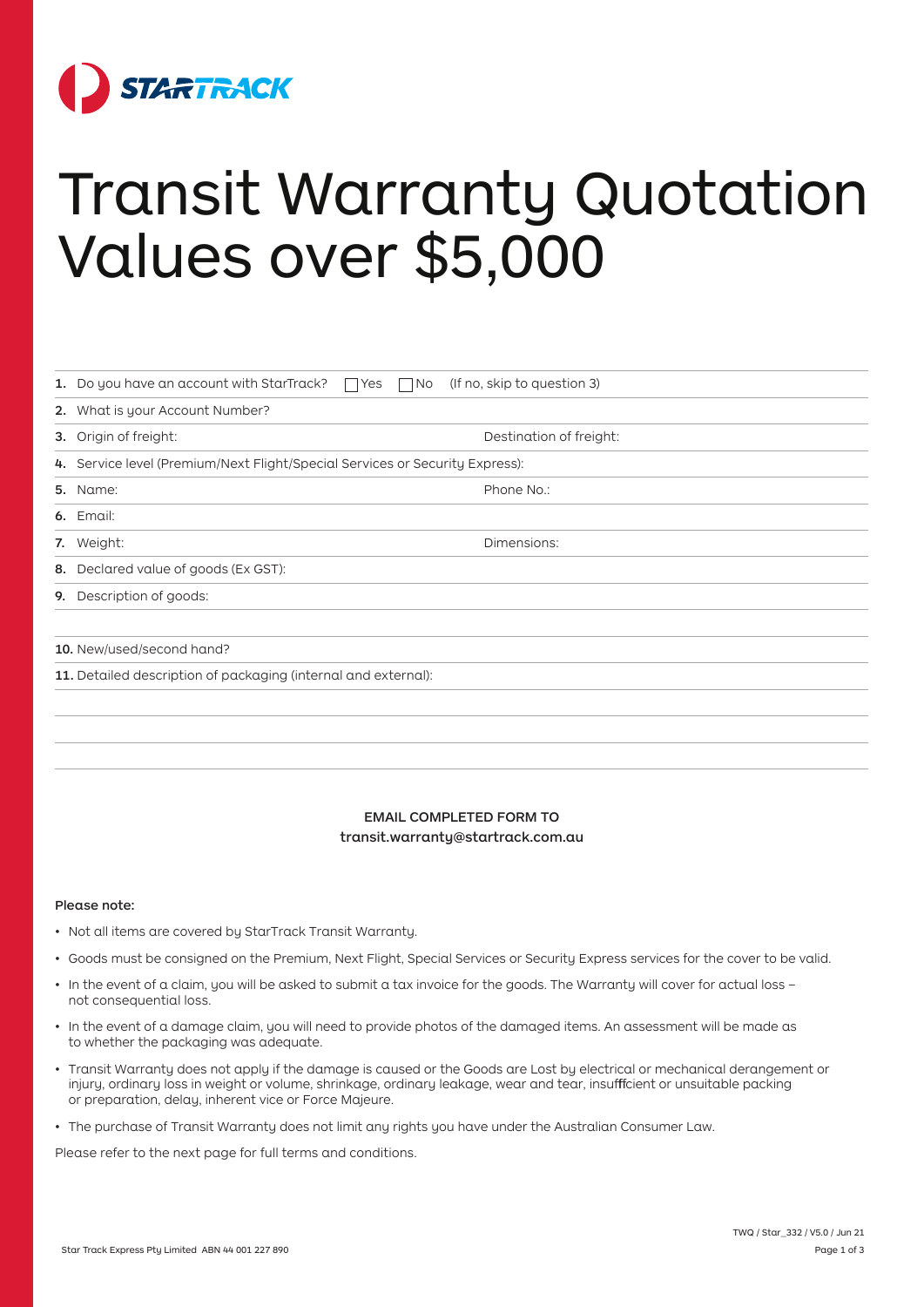

# Transit Warranty Quotation Values over \$5,000

|                                                                | 1. Do you have an account with StarTrack? $\Box$ Yes $\Box$ No               | (If no, skip to question 3) |
|----------------------------------------------------------------|------------------------------------------------------------------------------|-----------------------------|
|                                                                | 2. What is your Account Number?                                              |                             |
|                                                                | 3. Origin of freight:                                                        | Destination of freight:     |
|                                                                | 4. Service level (Premium/Next Flight/Special Services or Security Express): |                             |
|                                                                | <b>5.</b> Name:                                                              | Phone No.:                  |
|                                                                | 6. Email:                                                                    |                             |
|                                                                | 7. Weight:                                                                   | Dimensions:                 |
| 8.                                                             | Declared value of goods (Ex GST):                                            |                             |
| 9.                                                             | Description of goods:                                                        |                             |
|                                                                |                                                                              |                             |
| 10. New/used/second hand?                                      |                                                                              |                             |
| 11. Detailed description of packaging (internal and external): |                                                                              |                             |
|                                                                |                                                                              |                             |
|                                                                |                                                                              |                             |
|                                                                |                                                                              |                             |

# EMAIL COMPLETED FORM TO transit.warranty@startrack.com.au

# Please note:

- Not all items are covered by StarTrack Transit Warranty.
- Goods must be consigned on the Premium, Next Flight, Special Services or Security Express services for the cover to be valid.
- In the event of a claim, you will be asked to submit a tax invoice for the goods. The Warranty will cover for actual loss not consequential loss.
- In the event of a damage claim, you will need to provide photos of the damaged items. An assessment will be made as to whether the packaging was adequate.
- Transit Warranty does not apply if the damage is caused or the Goods are Lost by electrical or mechanical derangement or injury, ordinary loss in weight or volume, shrinkage, ordinary leakage, wear and tear, insufffficient or unsuitable packing or preparation, delay, inherent vice or Force Majeure.
- The purchase of Transit Warranty does not limit any rights you have under the Australian Consumer Law.

Please refer to the next page for full terms and conditions.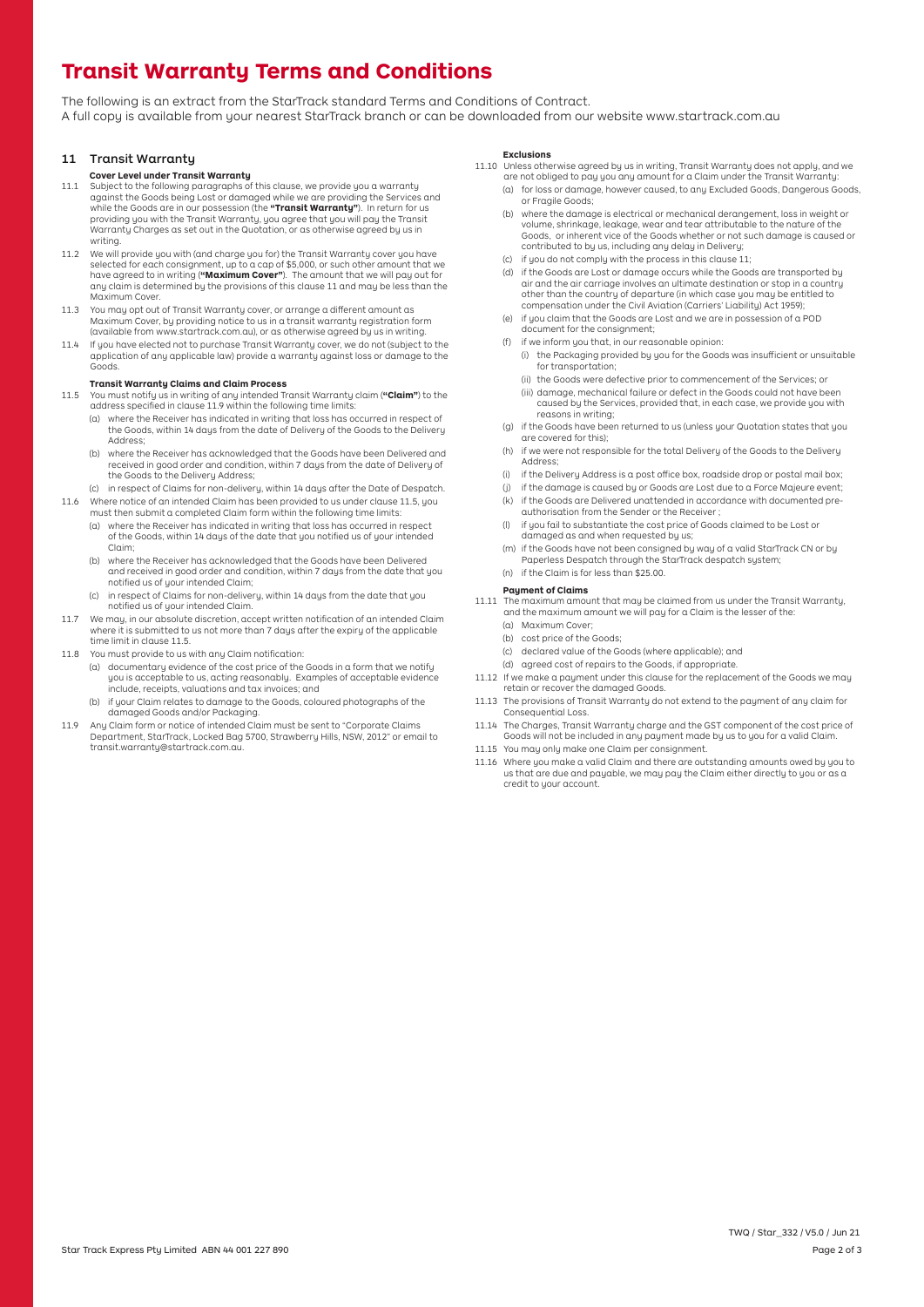The following is an extract from the StarTrack standard Terms and Conditions of Contract. A full copy is available from your nearest StarTrack branch or can be downloaded from our website www.startrack.com.au

## 11 Transit Warranty

### **Cover Level under Transit Warranty**

- 1 2**Transit Warranty Terms and Conditions** 11.1 Subject to the following paragraphs of this clause, we provide you a warranty against the Goods being Lost or damaged while we are providing the Services and while the Goods are in our possession (the **"Transit Warranty"**). In return for us providing you with the Transit Warranty, you agree that you will pay the Transit Warranty Charges as set out in the Quotation, or as otherwise agreed by us in writing.
- 11.2 We will provide you with (and charge you for) the Transit Warranty cover you have selected for each consignment, up to a cap of \$5,000, or such other amount that we have agreed to in writing (**"Maximum Cover"**). The amount that we will pay out for any claim is determined by the provisions of this clause 11 and may be less than the Maximum Cover.
- 11.3 You may opt out of Transit Warranty cover, or arrange a different amount as Maximum Cover, by providing notice to us in a transit warranty registration form (available from www.startrack.com.au), or as otherwise agreed by us in writing.
- 11.4 If you have elected not to purchase Transit Warranty cover, we do not (subject to the application of any applicable law) provide a warranty against loss or damage to the Goods.

## **Transit Warranty Claims and Claim Process**

- 11.5 You must notify us in writing of any intended Transit Warranty claim (**"Claim"**) to the<br>address specified in clause 11.9 within the following time limits:
	- (a) where the Receiver has indicated in writing that loss has occurred in respect of the Goods, within 14 days from the date of Delivery of the Goods to the Delivery Address;
	- (b) where the Receiver has acknowledged that the Goods have been Delivered and received in good order and condition, within 7 days from the date of Delivery of the Goods to the Deliveru Address;
- (c) in respect of Claims for non-delivery, within 14 days after the Date of Despatch. 11.6 Where notice of an intended Claim has been provided to us under clause 11.5, you
	- must then submit a completed Claim form within the following time limits: (a) where the Receiver has indicated in writing that loss has occurred in respect of the Goods, within 14 days of the date that you notifi ed us of your intended
		- Claim; (b) where the Receiver has acknowledged that the Goods have been Delivered and received in good order and condition, within 7 days from the date that you notified us of your intended Claim;
		- (c) in respect of Claims for non-delivery, within 14 days from the date that you notified us of your intended Claim.
- 11.7 We may, in our absolute discretion, accept written notification of an intended Claim where it is submitted to us not more than 7 days after the expiry of the applicable time limit in clause 11.5.
- 11.8 You must provide to us with any Claim notification:
	- (a) documentary evidence of the cost price of the Goods in a form that we notify you is acceptable to us, acting reasonably. Examples of acceptable evidence include, receipts, valuations and tax invoices; and
	- (b) if your Claim relates to damage to the Goods, coloured photographs of the damaged Goods and/or Packaging.
- 11.9 Any Claim form or notice of intended Claim must be sent to "Corporate Claims Department, StarTrack, Locked Bag 5700, Strawberry Hills, NSW, 2012" or email to transit.warranty@startrack.com.au.

#### **Exclusions**

- 11.10 Unless otherwise agreed by us in writing, Transit Warranty does not apply, and we are not obliged to pay you any amount for a Claim under the Transit Warranty:
	- (a) for loss or damage, however caused, to any Excluded Goods, Dangerous Goods, or Fragile Goods;
	- (b) where the damage is electrical or mechanical derangement, loss in weight or volume, shrinkage, leakage, wear and tear attributable to the nature of the Goods, or inherent vice of the Goods whether or not such damage is caused or contributed to by us, including any delay in Delivery;
	- (c) if you do not comply with the process in this clause 11;
	- (d) if the Goods are Lost or damage occurs while the Goods are transported by air and the air carriage involves an ultimate destination or stop in a country other than the country of departure (in which case you may be entitled to compensation under the Civil Aviation (Carriers' Liability) Act 1959);
	- (e) if you claim that the Goods are Lost and we are in possession of a POD document for the consignment;
	- (f) if we inform you that, in our reasonable opinion:
		- (i) the Packaging provided by you for the Goods was insufficient or unsuitable<br>for transportation;
		- (ii) the Goods were defective prior to commencement of the Services; or
		- (iii) damage, mechanical failure or defect in the Goods could not have been caused by the Services, provided that, in each case, we provide you with reasons in writing;
	- (g) if the Goods have been returned to us (unless your Quotation states that you are covered for this);
	- (h) if we were not responsible for the total Delivery of the Goods to the Delivery Address;
	- (i) if the Delivery Address is a post off ice box, roadside drop or postal mail box;
	- if the damage is caused by or Goods are Lost due to a Force Majeure event;
	- (k) if the Goods are Delivered unattended in accordance with documented preauthorisation from the Sender or the Receiver ;
	- (l) if you fail to substantiate the cost price of Goods claimed to be Lost or damaged as and when requested by us;
	- (m) if the Goods have not been consigned by way of a valid StarTrack CN or by Paperless Despatch through the StarTrack despatch system; (n) if the Claim is for less than \$25.00.

# **Payment of Claims**

- 11.11 The maximum amount that may be claimed from us under the Transit Warranty, and the maximum amount we will pay for a Claim is the lesser of the:
	- (a) Maximum Cover;
	- (b) cost price of the Goods;
	- (c) declared value of the Goods (where applicable); and
	- (d) agreed cost of repairs to the Goods, if appropriate.
- 11.12 If we make a payment under this clause for the replacement of the Goods we may retain or recover the damaged Goods.
- 11.13 The provisions of Transit Warranty do not extend to the payment of any claim for Consequential Loss.
- 11.14 The Charges, Transit Warranty charge and the GST component of the cost price of Goods will not be included in any payment made by us to you for a valid Claim.
- 11.15 You may only make one Claim per consignment.
- 11.16 Where you make a valid Claim and there are outstanding amounts owed by you to us that are due and payable, we may pay the Claim either directly to you or as a credit to your account.